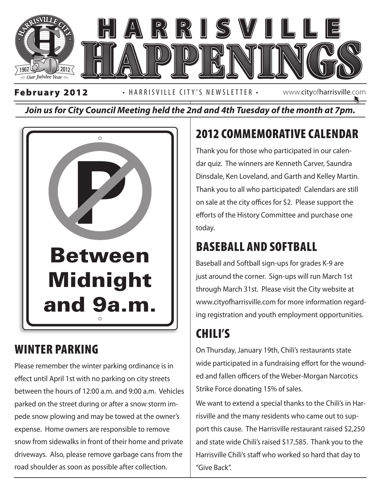

*Join us for City Council Meeting held the 2nd and 4th Tuesday of the month at 7pm.*



### WINTER PARKING

Please remember the winter parking ordinance is in effect until April 1st with no parking on city streets between the hours of 12:00 a.m. and 9:00 a.m. Vehicles parked on the street during or after a snow storm impede snow plowing and may be towed at the owner's expense. Home owners are responsible to remove snow from sidewalks in front of their home and private driveways. Also, please remove garbage cans from the road shoulder as soon as possible after collection.

# 2012 COMMEMORATIVE CALENDAR

Thank you for those who participated in our calendar quiz. The winners are Kenneth Carver, Saundra Dinsdale, Ken Loveland, and Garth and Kelley Martin. Thank you to all who participated! Calendars are still on sale at the city offices for \$2. Please support the efforts of the History Committee and purchase one today.

### BASEBALL AND SOFTBALL

 $\begin{array}{|c|c|c|}\n\hline\n\end{array}$  Baseball and Softball sign-ups for grades K-9 are just around the corner. Sign-ups will run March 1st through March 31st. Please visit the City website at www.cityofharrisville.com for more information regarding registration and youth employment opportunities.

## CHILI'S

On Thursday, January 19th, Chili's restaurants state wide participated in a fundraising effort for the wounded and fallen officers of the Weber-Morgan Narcotics Strike Force donating 15% of sales.

We want to extend a special thanks to the Chili's in Harrisville and the many residents who came out to support this cause. The Harrisville restaurant raised \$2,250 and state wide Chili's raised \$17,585. Thank you to the Harrisville Chili's staff who worked so hard that day to "Give Back".